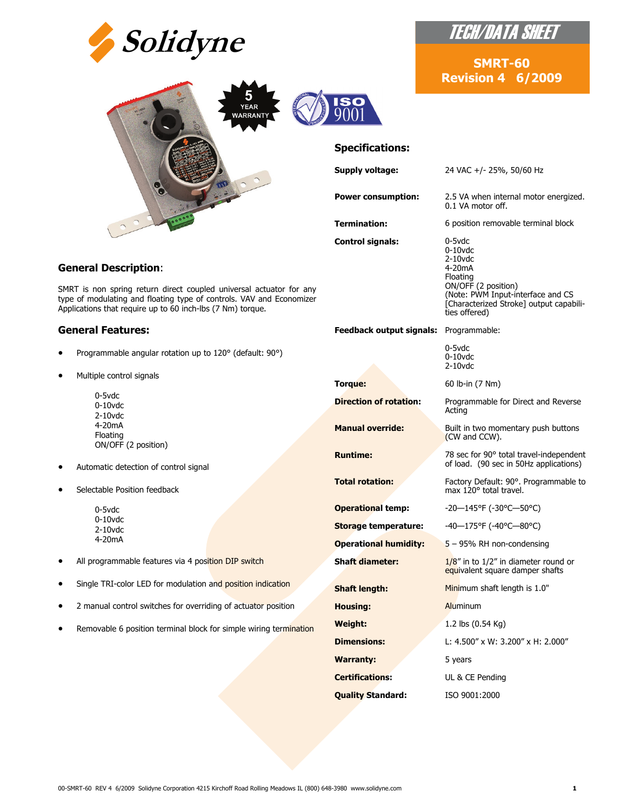





# TECH/DATA SHEET

**SMRT-60 Revision 4 6/2009** 

## **Specifications:**

| <b>Supply voltage:</b>          | 24 VAC +/- 25%, 50/60 Hz                                                                                                                                                                      |
|---------------------------------|-----------------------------------------------------------------------------------------------------------------------------------------------------------------------------------------------|
| <b>Power consumption:</b>       | 2.5 VA when internal motor energized.<br>0.1 VA motor off.                                                                                                                                    |
| Termination:                    | 6 position removable terminal block                                                                                                                                                           |
| <b>Control signals:</b>         | 0-5vdc<br>$0-10$ vdc<br>$2-10$ vdc<br>4-20 <sub>m</sub> A<br>Floating<br>ON/OFF (2 position)<br>(Note: PWM Input-interface and CS<br>[Characterized Stroke] output capabili-<br>ties offered) |
| <b>Feedback output signals:</b> | Programmable:                                                                                                                                                                                 |
|                                 | 0-5vdc<br>$0-10$ vdc<br>$2-10$ vdc                                                                                                                                                            |
| <b>Torque:</b>                  | 60 lb-in (7 Nm)                                                                                                                                                                               |
| <b>Direction of rotation:</b>   | Programmable for Direct and Reverse<br>Acting                                                                                                                                                 |
| <b>Manual override:</b>         | Built in two momentary push buttons<br>(CW and CCW).                                                                                                                                          |
| <b>Runtime:</b>                 | 78 sec for 90° total travel-independent<br>of load. (90 sec in 50Hz applications)                                                                                                             |
| <b>Total rotation:</b>          | Factory Default: 90°. Programmable to<br>max 120° total travel.                                                                                                                               |
| <b>Operational temp:</b>        | $-20 - 145$ °F (-30°C--50°C)                                                                                                                                                                  |
| <b>Storage temperature:</b>     | -40-175°F (-40°C-80°C)                                                                                                                                                                        |
| <b>Operational humidity:</b>    | $5 - 95%$ RH non-condensing                                                                                                                                                                   |
| <b>Shaft diameter:</b>          | $1/8$ " in to $1/2$ " in diameter round or<br>equivalent square damper shafts                                                                                                                 |
| <b>Shaft length:</b>            | Minimum shaft length is 1.0"                                                                                                                                                                  |
| <b>Housing:</b>                 | Aluminum                                                                                                                                                                                      |
| Weight:                         | 1.2 lbs (0.54 Kg)                                                                                                                                                                             |
| <b>Dimensions:</b>              | L: 4.500" x W: 3.200" x H: 2.000"                                                                                                                                                             |
| <b>Warranty:</b>                | 5 years                                                                                                                                                                                       |
| <b>Certifications:</b>          | UL & CE Pending                                                                                                                                                                               |
| <b>Quality Standard:</b>        | ISO 9001:2000                                                                                                                                                                                 |

## **General Description**:

SMRT is non spring return direct coupled universal actuator for any type of modulating and floating type of controls. VAV and Economizer Applications that require up to 60 inch-lbs (7 Nm) torque.

## **General Features:**

- Programmable angular rotation up to 120° (default: 90°)
- Multiple control signals
	- 0-5vdc 0-10vdc 2-10vdc 4-20mA Floating ON/OFF (2 position)
- Automatic detection of control signal
- Selectable Position feedback
	- 0-5vdc 0-10vdc 2-10vdc 4-20mA
- All programmable features via 4 position DIP switch
- Single TRI-color LED for modulation and position indication
- 2 manual control switches for overriding of actuator position
- Removable 6 position terminal block for simple wiring termination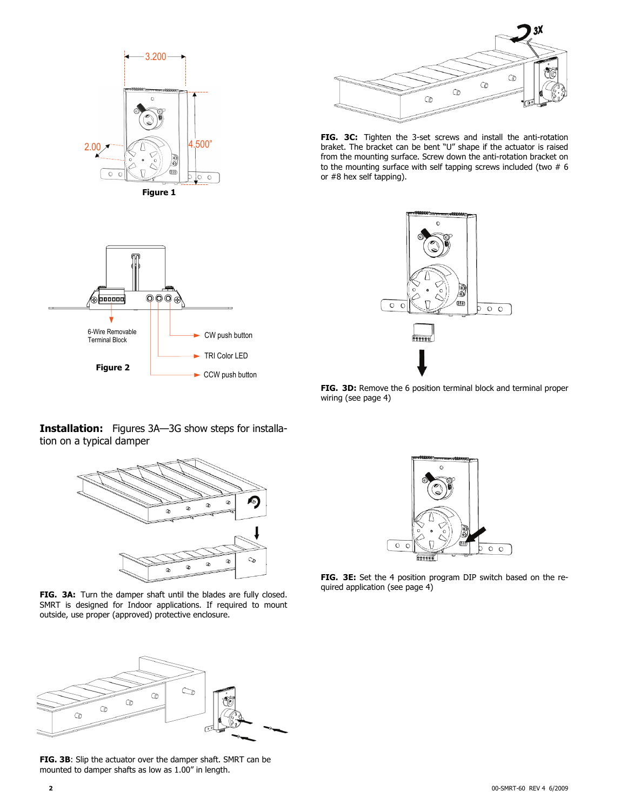



**FIG. 3C:** Tighten the 3-set screws and install the anti-rotation braket. The bracket can be bent "U" shape if the actuator is raised from the mounting surface. Screw down the anti-rotation bracket on to the mounting surface with self tapping screws included (two # 6 or #8 hex self tapping).



**FIG. 3D:** Remove the 6 position terminal block and terminal proper wiring (see page 4)

# **Installation:** Figures 3A—3G show steps for installation on a typical damper



**FIG. 3A:** Turn the damper shaft until the blades are fully closed. SMRT is designed for Indoor applications. If required to mount outside, use proper (approved) protective enclosure.



**FIG. 3B**: Slip the actuator over the damper shaft. SMRT can be mounted to damper shafts as low as 1.00" in length.



**FIG. 3E:** Set the 4 position program DIP switch based on the required application (see page 4)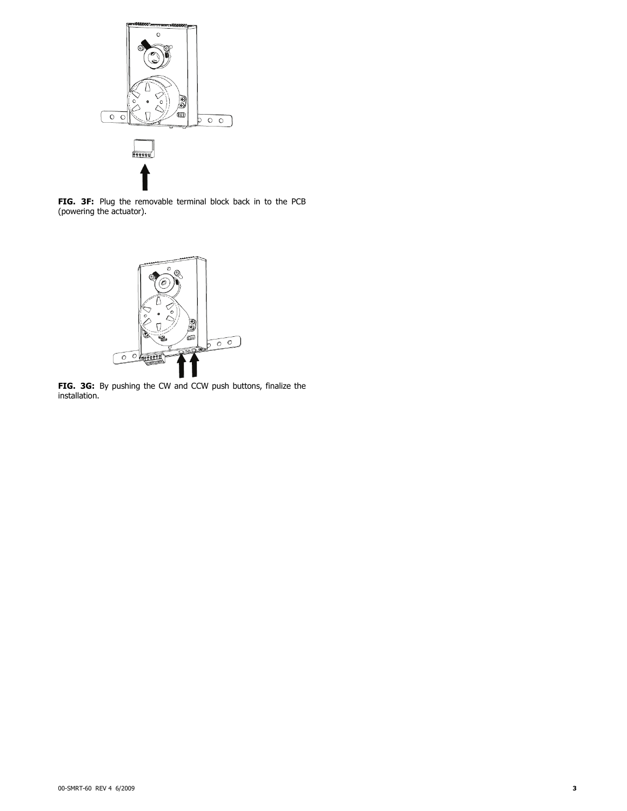

**FIG. 3F:** Plug the removable terminal block back in to the PCB (powering the actuator).



**FIG. 3G:** By pushing the CW and CCW push buttons, finalize the installation.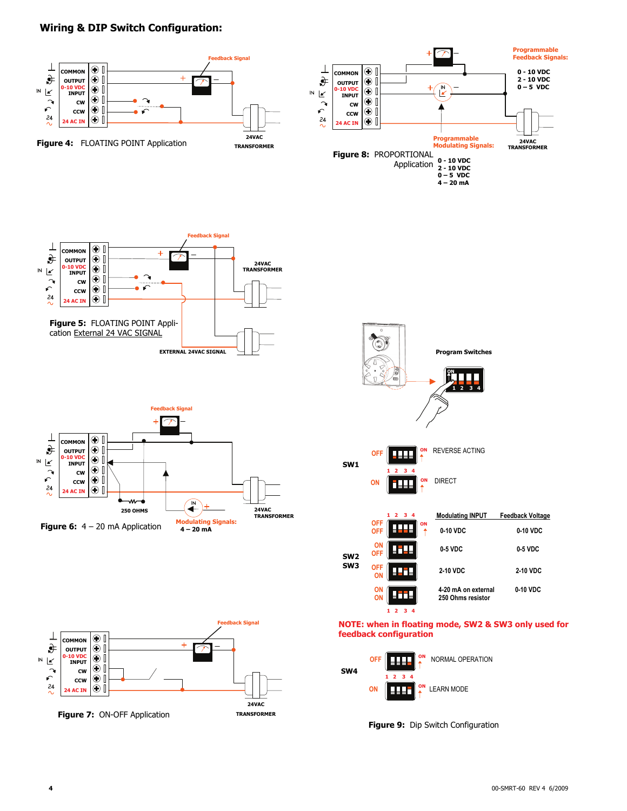# **Wiring & DIP Switch Configuration:**

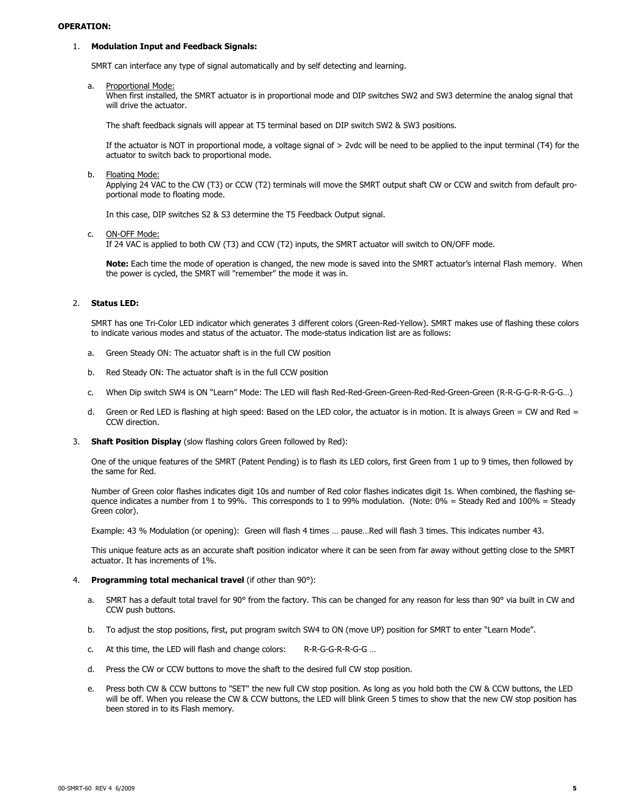#### **OPERATION:**

#### 1. **Modulation Input and Feedback Signals:**

SMRT can interface any type of signal automatically and by self detecting and learning.

#### a. Proportional Mode:

When first installed, the SMRT actuator is in proportional mode and DIP switches SW2 and SW3 determine the analog signal that will drive the actuator.

The shaft feedback signals will appear at T5 terminal based on DIP switch SW2 & SW3 positions.

If the actuator is NOT in proportional mode, a voltage signal of > 2vdc will be need to be applied to the input terminal (T4) for the actuator to switch back to proportional mode.

#### b. Floating Mode:

Applying 24 VAC to the CW (T3) or CCW (T2) terminals will move the SMRT output shaft CW or CCW and switch from default proportional mode to floating mode.

In this case, DIP switches S2 & S3 determine the T5 Feedback Output signal.

#### c. ON-OFF Mode:

If 24 VAC is applied to both CW (T3) and CCW (T2) inputs, the SMRT actuator will switch to ON/OFF mode.

**Note:** Each time the mode of operation is changed, the new mode is saved into the SMRT actuator's internal Flash memory. When the power is cycled, the SMRT will "remember" the mode it was in.

#### 2. **Status LED:**

SMRT has one Tri-Color LED indicator which generates 3 different colors (Green-Red-Yellow). SMRT makes use of flashing these colors to indicate various modes and status of the actuator. The mode-status indication list are as follows:

- a. Green Steady ON: The actuator shaft is in the full CW position
- b. Red Steady ON: The actuator shaft is in the full CCW position
- c. When Dip switch SW4 is ON "Learn" Mode: The LED will flash Red-Red-Green-Green-Red-Red-Green-Green (R-R-G-G-R-R-G-G…)
- d. Green or Red LED is flashing at high speed: Based on the LED color, the actuator is in motion. It is always Green = CW and Red = CCW direction.
- 3. **Shaft Position Display** (slow flashing colors Green followed by Red):

One of the unique features of the SMRT (Patent Pending) is to flash its LED colors, first Green from 1 up to 9 times, then followed by the same for Red.

Number of Green color flashes indicates digit 10s and number of Red color flashes indicates digit 1s. When combined, the flashing sequence indicates a number from 1 to 99%. This corresponds to 1 to 99% modulation. (Note: 0% = Steady Red and 100% = Steady Green color).

Example: 43 % Modulation (or opening): Green will flash 4 times … pause…Red will flash 3 times. This indicates number 43.

This unique feature acts as an accurate shaft position indicator where it can be seen from far away without getting close to the SMRT actuator. It has increments of 1%.

- 4. **Programming total mechanical travel** (if other than 90°):
	- a. SMRT has a default total travel for 90° from the factory. This can be changed for any reason for less than 90° via built in CW and CCW push buttons.
	- b. To adjust the stop positions, first, put program switch SW4 to ON (move UP) position for SMRT to enter "Learn Mode".
	- c. At this time, the LED will flash and change colors: R-R-G-G-R-R-G-G …
	- d. Press the CW or CCW buttons to move the shaft to the desired full CW stop position.
	- e. Press both CW & CCW buttons to "SET" the new full CW stop position. As long as you hold both the CW & CCW buttons, the LED will be off. When you release the CW & CCW buttons, the LED will blink Green 5 times to show that the new CW stop position has been stored in to its Flash memory.